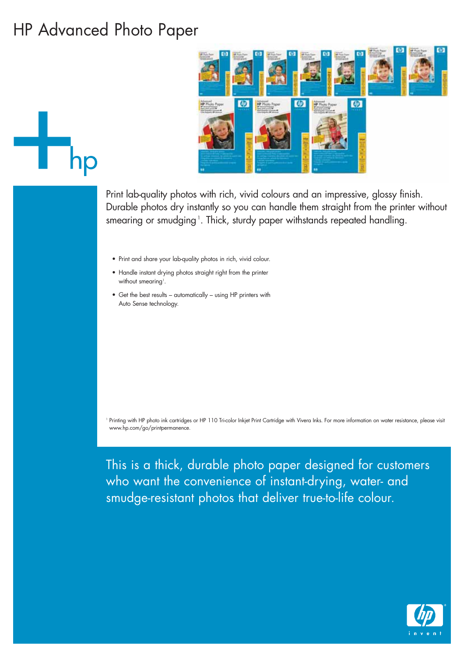## HP Advanced Photo Paper



Print lab-quality photos with rich, vivid colours and an impressive, glossy finish. Durable photos dry instantly so you can handle them straight from the printer without smearing or smudging <sup>1</sup>. Thick, sturdy paper withstands repeated handling.

- Print and share your lab-quality photos in rich, vivid colour.
- Handle instant drying photos straight right from the printer without smearing<sup>1</sup>.
- Get the best results automatically using HP printers with Auto Sense technology.

<sup>1</sup> Printing with HP photo ink cartridges or HP 110 Tri-color Inkjet Print Cartridge with Vivera Inks. For more information on water resistance, please visit www.hp.com/go/printpermanence.

This is a thick, durable photo paper designed for customers who want the convenience of instant-drying, water- and smudge-resistant photos that deliver true-to-life colour.